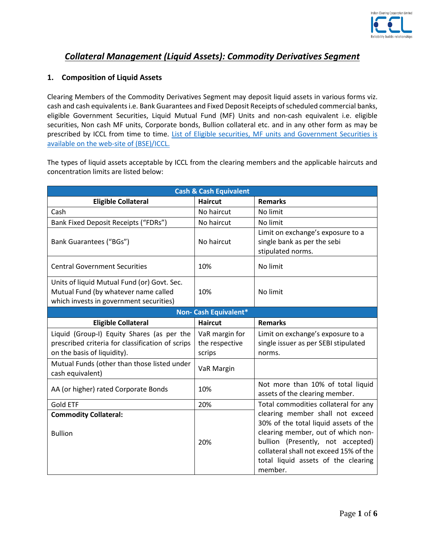

# *Collateral Management (Liquid Assets): Commodity Derivatives Segment*

## **1. Composition of Liquid Assets**

Clearing Members of the Commodity Derivatives Segment may deposit liquid assets in various forms viz. cash and cash equivalents i.e. Bank Guarantees and Fixed Deposit Receipts of scheduled commercial banks, eligible Government Securities, Liquid Mutual Fund (MF) Units and non-cash equivalent i.e. eligible securities, Non cash MF units, Corporate bonds, Bullion collateral etc. and in any other form as may be prescribed by ICCL from time to time. List of Eligible securities, MF units and Government Securities is [available on the web-site of \(BSE\)/ICCL.](https://www.bseindia.com/members/downloads.aspx?expandable=9)

The types of liquid assets acceptable by ICCL from the clearing members and the applicable haircuts and concentration limits are listed below:

| <b>Cash &amp; Cash Equivalent</b>                                                                                              |                                            |                                                                                                                                                                                                                                                  |
|--------------------------------------------------------------------------------------------------------------------------------|--------------------------------------------|--------------------------------------------------------------------------------------------------------------------------------------------------------------------------------------------------------------------------------------------------|
| <b>Eligible Collateral</b>                                                                                                     | <b>Haircut</b>                             | <b>Remarks</b>                                                                                                                                                                                                                                   |
| Cash                                                                                                                           | No haircut                                 | No limit                                                                                                                                                                                                                                         |
| Bank Fixed Deposit Receipts ("FDRs")                                                                                           | No haircut                                 | No limit                                                                                                                                                                                                                                         |
| Bank Guarantees ("BGs")                                                                                                        | No haircut                                 | Limit on exchange's exposure to a<br>single bank as per the sebi<br>stipulated norms.                                                                                                                                                            |
| <b>Central Government Securities</b>                                                                                           | 10%                                        | No limit                                                                                                                                                                                                                                         |
| Units of liquid Mutual Fund (or) Govt. Sec.<br>Mutual Fund (by whatever name called<br>which invests in government securities) | 10%                                        | No limit                                                                                                                                                                                                                                         |
| <b>Non- Cash Equivalent*</b>                                                                                                   |                                            |                                                                                                                                                                                                                                                  |
| <b>Eligible Collateral</b>                                                                                                     | <b>Haircut</b>                             | <b>Remarks</b>                                                                                                                                                                                                                                   |
| Liquid (Group-I) Equity Shares (as per the<br>prescribed criteria for classification of scrips<br>on the basis of liquidity).  | VaR margin for<br>the respective<br>scrips | Limit on exchange's exposure to a<br>single issuer as per SEBI stipulated<br>norms.                                                                                                                                                              |
| Mutual Funds (other than those listed under<br>cash equivalent)                                                                | VaR Margin                                 |                                                                                                                                                                                                                                                  |
| AA (or higher) rated Corporate Bonds                                                                                           | 10%                                        | Not more than 10% of total liquid<br>assets of the clearing member.                                                                                                                                                                              |
| <b>Gold ETF</b>                                                                                                                | 20%                                        | Total commodities collateral for any                                                                                                                                                                                                             |
| <b>Commodity Collateral:</b><br><b>Bullion</b>                                                                                 | 20%                                        | clearing member shall not exceed<br>30% of the total liquid assets of the<br>clearing member, out of which non-<br>bullion (Presently, not accepted)<br>collateral shall not exceed 15% of the<br>total liquid assets of the clearing<br>member. |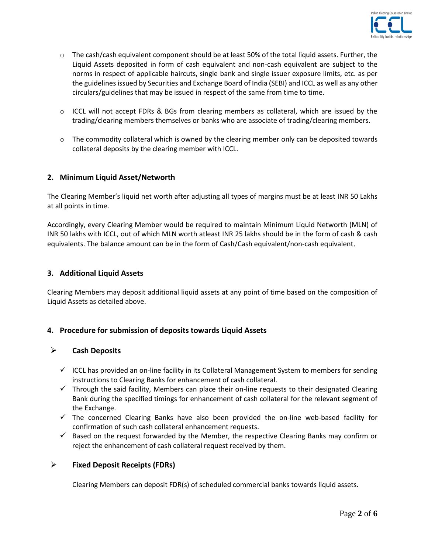

- $\circ$  The cash/cash equivalent component should be at least 50% of the total liquid assets. Further, the Liquid Assets deposited in form of cash equivalent and non-cash equivalent are subject to the norms in respect of applicable haircuts, single bank and single issuer exposure limits, etc. as per the guidelines issued by Securities and Exchange Board of India (SEBI) and ICCL as well as any other circulars/guidelines that may be issued in respect of the same from time to time.
- o ICCL will not accept FDRs & BGs from clearing members as collateral, which are issued by the trading/clearing members themselves or banks who are associate of trading/clearing members.
- $\circ$  The commodity collateral which is owned by the clearing member only can be deposited towards collateral deposits by the clearing member with ICCL.

## **2. Minimum Liquid Asset/Networth**

The Clearing Member's liquid net worth after adjusting all types of margins must be at least INR 50 Lakhs at all points in time.

Accordingly, every Clearing Member would be required to maintain Minimum Liquid Networth (MLN) of INR 50 lakhs with ICCL, out of which MLN worth atleast INR 25 lakhs should be in the form of cash & cash equivalents. The balance amount can be in the form of Cash/Cash equivalent/non-cash equivalent.

## **3. Additional Liquid Assets**

Clearing Members may deposit additional liquid assets at any point of time based on the composition of Liquid Assets as detailed above.

# **4. Procedure for submission of deposits towards Liquid Assets**

#### **Cash Deposits**

- $\checkmark$  ICCL has provided an on-line facility in its Collateral Management System to members for sending instructions to Clearing Banks for enhancement of cash collateral.
- $\checkmark$  Through the said facility, Members can place their on-line requests to their designated Clearing Bank during the specified timings for enhancement of cash collateral for the relevant segment of the Exchange.
- $\checkmark$  The concerned Clearing Banks have also been provided the on-line web-based facility for confirmation of such cash collateral enhancement requests.
- $\checkmark$  Based on the request forwarded by the Member, the respective Clearing Banks may confirm or reject the enhancement of cash collateral request received by them.

## **Fixed Deposit Receipts (FDRs)**

Clearing Members can deposit FDR(s) of scheduled commercial banks towards liquid assets.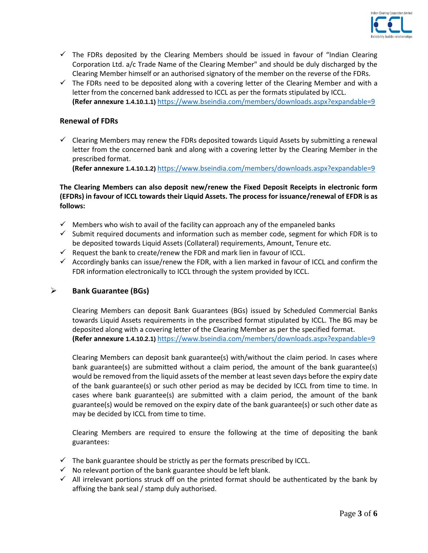

- $\checkmark$  The FDRs deposited by the Clearing Members should be issued in favour of "Indian Clearing Corporation Ltd. a/c Trade Name of the Clearing Member" and should be duly discharged by the Clearing Member himself or an authorised signatory of the member on the reverse of the FDRs.
- $\checkmark$  The FDRs need to be deposited along with a covering letter of the Clearing Member and with a letter from the concerned bank addressed to ICCL as per the formats stipulated by ICCL. **(Refer annexure 1.4.10.1.1)** <https://www.bseindia.com/members/downloads.aspx?expandable=9>

## **Renewal of FDRs**

 $\checkmark$  Clearing Members may renew the FDRs deposited towards Liquid Assets by submitting a renewal letter from the concerned bank and along with a covering letter by the Clearing Member in the prescribed format.

**(Refer annexure 1.4.10.1.2)** <https://www.bseindia.com/members/downloads.aspx?expandable=9>

## **The Clearing Members can also deposit new/renew the Fixed Deposit Receipts in electronic form (EFDRs) in favour of ICCL towards their Liquid Assets. The process for issuance/renewal of EFDR is as follows:**

- $\checkmark$  Members who wish to avail of the facility can approach any of the empaneled banks
- $\checkmark$  Submit required documents and information such as member code, segment for which FDR is to be deposited towards Liquid Assets (Collateral) requirements, Amount, Tenure etc.
- $\checkmark$  Request the bank to create/renew the FDR and mark lien in favour of ICCL.
- $\checkmark$  Accordingly banks can issue/renew the FDR, with a lien marked in favour of ICCL and confirm the FDR information electronically to ICCL through the system provided by ICCL.

#### **Bank Guarantee (BGs)**

Clearing Members can deposit Bank Guarantees (BGs) issued by Scheduled Commercial Banks towards Liquid Assets requirements in the prescribed format stipulated by ICCL. The BG may be deposited along with a covering letter of the Clearing Member as per the specified format. **(Refer annexure 1.4.10.2.1)** <https://www.bseindia.com/members/downloads.aspx?expandable=9>

Clearing Members can deposit bank guarantee(s) with/without the claim period. In cases where bank guarantee(s) are submitted without a claim period, the amount of the bank guarantee(s) would be removed from the liquid assets of the member at least seven days before the expiry date of the bank guarantee(s) or such other period as may be decided by ICCL from time to time. In cases where bank guarantee(s) are submitted with a claim period, the amount of the bank guarantee(s) would be removed on the expiry date of the bank guarantee(s) or such other date as may be decided by ICCL from time to time.

Clearing Members are required to ensure the following at the time of depositing the bank guarantees:

- $\checkmark$  The bank guarantee should be strictly as per the formats prescribed by ICCL.
- $\checkmark$  No relevant portion of the bank guarantee should be left blank.
- $\checkmark$  All irrelevant portions struck off on the printed format should be authenticated by the bank by affixing the bank seal / stamp duly authorised.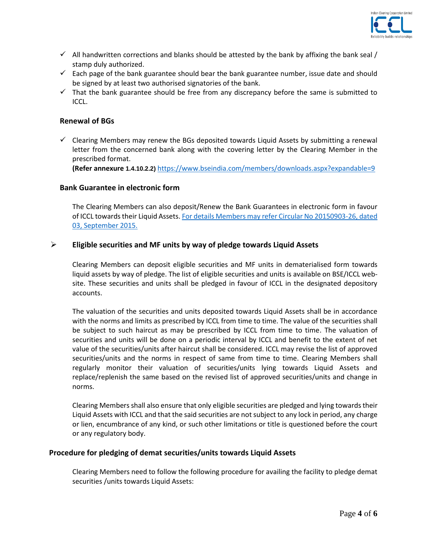

- $\checkmark$  All handwritten corrections and blanks should be attested by the bank by affixing the bank seal / stamp duly authorized.
- $\checkmark$  Each page of the bank guarantee should bear the bank guarantee number, issue date and should be signed by at least two authorised signatories of the bank.
- $\checkmark$  That the bank guarantee should be free from any discrepancy before the same is submitted to ICCL.

#### **Renewal of BGs**

 $\checkmark$  Clearing Members may renew the BGs deposited towards Liquid Assets by submitting a renewal letter from the concerned bank along with the covering letter by the Clearing Member in the prescribed format.

**(Refer annexure 1.4.10.2.2)** <https://www.bseindia.com/members/downloads.aspx?expandable=9>

#### **Bank Guarantee in electronic form**

The Clearing Members can also deposit/Renew the Bank Guarantees in electronic form in favour of ICCL towards their Liquid Assets[. For details Members may refer Circular No](https://www.bseindia.com/markets/MarketInfo/DispNewNoticesCirculars.aspx?page=20150903-26) 20150903-26, dated [03, September 2015.](https://www.bseindia.com/markets/MarketInfo/DispNewNoticesCirculars.aspx?page=20150903-26)

#### **Eligible securities and MF units by way of pledge towards Liquid Assets**

Clearing Members can deposit eligible securities and MF units in dematerialised form towards liquid assets by way of pledge. The list of eligible securities and units is available on BSE/ICCL website. These securities and units shall be pledged in favour of ICCL in the designated depository accounts.

The valuation of the securities and units deposited towards Liquid Assets shall be in accordance with the norms and limits as prescribed by ICCL from time to time. The value of the securities shall be subject to such haircut as may be prescribed by ICCL from time to time. The valuation of securities and units will be done on a periodic interval by ICCL and benefit to the extent of net value of the securities/units after haircut shall be considered. ICCL may revise the list of approved securities/units and the norms in respect of same from time to time. Clearing Members shall regularly monitor their valuation of securities/units lying towards Liquid Assets and replace/replenish the same based on the revised list of approved securities/units and change in norms.

Clearing Members shall also ensure that only eligible securities are pledged and lying towards their Liquid Assets with ICCL and that the said securities are not subject to any lock in period, any charge or lien, encumbrance of any kind, or such other limitations or title is questioned before the court or any regulatory body.

#### **Procedure for pledging of demat securities/units towards Liquid Assets**

Clearing Members need to follow the following procedure for availing the facility to pledge demat securities /units towards Liquid Assets: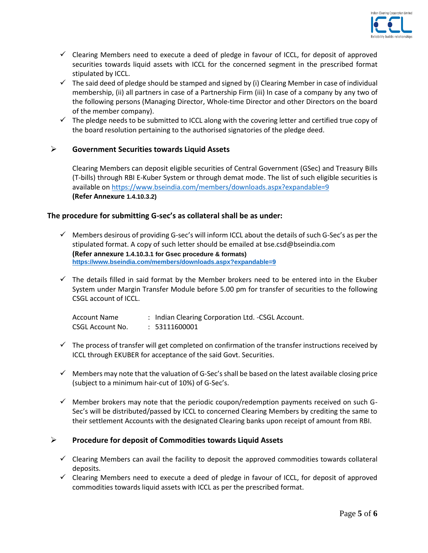

- $\checkmark$  Clearing Members need to execute a deed of pledge in favour of ICCL, for deposit of approved securities towards liquid assets with ICCL for the concerned segment in the prescribed format stipulated by ICCL.
- $\checkmark$  The said deed of pledge should be stamped and signed by (i) Clearing Member in case of individual membership, (ii) all partners in case of a Partnership Firm (iii) In case of a company by any two of the following persons (Managing Director, Whole-time Director and other Directors on the board of the member company).
- The pledge needs to be submitted to ICCL along with the covering letter and certified true copy of the board resolution pertaining to the authorised signatories of the pledge deed.

# **Government Securities towards Liquid Assets**

Clearing Members can deposit eligible securities of Central Government (GSec) and Treasury Bills (T-bills) through RBI E-Kuber System or through demat mode. The list of such eligible securities is available o[n https://www.bseindia.com/members/downloads.aspx?expandable=9](https://www.bseindia.com/members/downloads.aspx?expandable=9)  **(Refer Annexure 1.4.10.3.2)**

## **The procedure for submitting G-sec's as collateral shall be as under:**

- $\checkmark$  Members desirous of providing G-sec's will inform ICCL about the details of such G-Sec's as per the stipulated format. A copy of such letter should be emailed at [bse.csd@bseindia.com](mailto:bse.csd@bseindia.com) **(Refer annexure 1.4.10.3.1 for Gsec procedure & formats) <https://www.bseindia.com/members/downloads.aspx?expandable=9>**
- $\checkmark$  The details filled in said format by the Member brokers need to be entered into in the Ekuber System under Margin Transfer Module before 5.00 pm for transfer of securities to the following CSGL account of ICCL.

Account Name : Indian Clearing Corporation Ltd. -CSGL Account. CSGL Account No. : 53111600001

- $\checkmark$  The process of transfer will get completed on confirmation of the transfer instructions received by ICCL through EKUBER for acceptance of the said Govt. Securities.
- $\checkmark$  Members may note that the valuation of G-Sec's shall be based on the latest available closing price (subject to a minimum hair-cut of 10%) of G-Sec's.
- $\checkmark$  Member brokers may note that the periodic coupon/redemption payments received on such G-Sec's will be distributed/passed by ICCL to concerned Clearing Members by crediting the same to their settlement Accounts with the designated Clearing banks upon receipt of amount from RBI.

#### **Procedure for deposit of Commodities towards Liquid Assets**

- $\checkmark$  Clearing Members can avail the facility to deposit the approved commodities towards collateral deposits.
- $\checkmark$  Clearing Members need to execute a deed of pledge in favour of ICCL, for deposit of approved commodities towards liquid assets with ICCL as per the prescribed format.